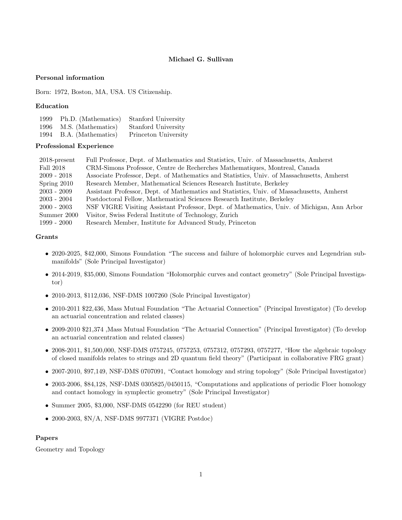# Michael G. Sullivan

### Personal information

Born: 1972, Boston, MA, USA. US Citizenship.

### Education

| 1999 | Ph.D. (Mathematics) | Stanford University  |
|------|---------------------|----------------------|
| 1996 | M.S. (Mathematics)  | Stanford University  |
| 1994 | B.A. (Mathematics)  | Princeton University |

# Professional Experience

| $2018$ -present | Full Professor, Dept. of Mathematics and Statistics, Univ. of Massachusetts, Amherst       |  |
|-----------------|--------------------------------------------------------------------------------------------|--|
| Fall 2018       | CRM-Simons Professor, Centre de Recherches Mathematiques, Montreal, Canada                 |  |
| $2009 - 2018$   | Associate Professor, Dept. of Mathematics and Statistics, Univ. of Massachusetts, Amherst  |  |
| Spring 2010     | Research Member, Mathematical Sciences Research Institute, Berkeley                        |  |
| $2003 - 2009$   | Assistant Professor, Dept. of Mathematics and Statistics, Univ. of Massachusetts, Amherst  |  |
| $2003 - 2004$   | Postdoctoral Fellow, Mathematical Sciences Research Institute, Berkeley                    |  |
| $2000 - 2003$   | NSF VIGRE Visiting Assistant Professor, Dept. of Mathematics, Univ. of Michigan, Ann Arbor |  |
| Summer 2000     | Visitor, Swiss Federal Institute of Technology, Zurich                                     |  |
| $1999 - 2000$   | Research Member, Institute for Advanced Study, Princeton                                   |  |

### Grants

- 2020-2025, \$42,000, Simons Foundation "The success and failure of holomorphic curves and Legendrian submanifolds" (Sole Principal Investigator)
- 2014-2019, \$35,000, Simons Foundation "Holomorphic curves and contact geometry" (Sole Principal Investigator)
- 2010-2013, \$112,036, NSF-DMS 1007260 (Sole Principal Investigator)
- 2010-2011 \$22,436, Mass Mutual Foundation "The Actuarial Connection" (Principal Investigator) (To develop an actuarial concentration and related classes)
- 2009-2010 \$21,374 ,Mass Mutual Foundation "The Actuarial Connection" (Principal Investigator) (To develop an actuarial concentration and related classes)
- 2008-2011, \$1,500,000, NSF-DMS 0757245, 0757253, 0757312, 0757293, 0757277, "How the algebraic topology of closed manifolds relates to strings and 2D quantum field theory" (Participant in collaborative FRG grant)
- 2007-2010, \$97,149, NSF-DMS 0707091, "Contact homology and string topology" (Sole Principal Investigator)
- 2003-2006, \$84,128, NSF-DMS 0305825/0450115, "Computations and applications of periodic Floer homology and contact homology in symplectic geometry" (Sole Principal Investigator)
- Summer 2005, \$3,000, NSF-DMS 0542290 (for REU student)
- 2000-2003, \$N/A, NSF-DMS 9977371 (VIGRE Postdoc)

#### Papers

Geometry and Topology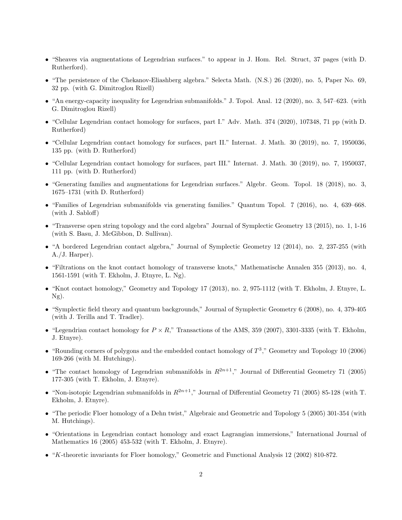- "Sheaves via augmentations of Legendrian surfaces." to appear in J. Hom. Rel. Struct, 37 pages (with D. Rutherford).
- "The persistence of the Chekanov-Eliashberg algebra." Selecta Math. (N.S.) 26 (2020), no. 5, Paper No. 69, 32 pp. (with G. Dimitroglou Rizell)
- "An energy-capacity inequality for Legendrian submanifolds." J. Topol. Anal. 12 (2020), no. 3, 547–623. (with G. Dimitroglou Rizell)
- "Cellular Legendrian contact homology for surfaces, part I." Adv. Math. 374 (2020), 107348, 71 pp (with D. Rutherford)
- "Cellular Legendrian contact homology for surfaces, part II." Internat. J. Math. 30 (2019), no. 7, 1950036, 135 pp. (with D. Rutherford)
- "Cellular Legendrian contact homology for surfaces, part III." Internat. J. Math. 30 (2019), no. 7, 1950037, 111 pp. (with D. Rutherford)
- "Generating families and augmentations for Legendrian surfaces." Algebr. Geom. Topol. 18 (2018), no. 3, 1675–1731 (with D. Rutherford)
- "Families of Legendrian submanifolds via generating families." Quantum Topol. 7 (2016), no. 4, 639–668. (with J. Sabloff)
- "Transverse open string topology and the cord algebra" Journal of Symplectic Geometry 13 (2015), no. 1, 1-16 (with S. Basu, J. McGibbon, D. Sullivan).
- "A bordered Legendrian contact algebra," Journal of Symplectic Geometry 12 (2014), no. 2, 237-255 (with A./J. Harper).
- "Filtrations on the knot contact homology of transverse knots," Mathematische Annalen 355 (2013), no. 4, 1561-1591 (with T. Ekholm, J. Etnyre, L. Ng).
- "Knot contact homology," Geometry and Topology 17 (2013), no. 2, 975-1112 (with T. Ekholm, J. Etnyre, L. Ng).
- "Symplectic field theory and quantum backgrounds," Journal of Symplectic Geometry 6 (2008), no. 4, 379-405 (with J. Terilla and T. Tradler).
- "Legendrian contact homology for  $P \times R$ ," Transactions of the AMS, 359 (2007), 3301-3335 (with T. Ekholm, J. Etnyre).
- "Rounding corners of polygons and the embedded contact homology of  $T^3$ ," Geometry and Topology 10 (2006) 169-266 (with M. Hutchings).
- "The contact homology of Legendrian submanifolds in  $R^{2n+1}$ ," Journal of Differential Geometry 71 (2005) 177-305 (with T. Ekholm, J. Etnyre).
- "Non-isotopic Legendrian submanifolds in  $R^{2n+1}$ ," Journal of Differential Geometry 71 (2005) 85-128 (with T. Ekholm, J. Etnyre).
- "The periodic Floer homology of a Dehn twist," Algebraic and Geometric and Topology 5 (2005) 301-354 (with M. Hutchings).
- "Orientations in Legendrian contact homology and exact Lagrangian immersions," International Journal of Mathematics 16 (2005) 453-532 (with T. Ekholm, J. Etnyre).
- "K-theoretic invariants for Floer homology," Geometric and Functional Analysis 12 (2002) 810-872.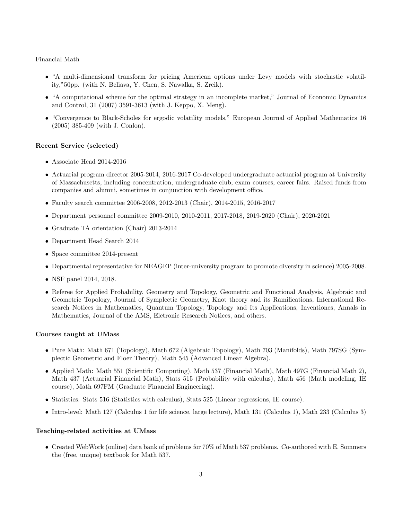# Financial Math

- "A multi-dimensional transform for pricing American options under Levy models with stochastic volatility,"50pp. (with N. Beliava, Y. Chen, S. Nawalka, S. Zreik).
- "A computational scheme for the optimal strategy in an incomplete market," Journal of Economic Dynamics and Control, 31 (2007) 3591-3613 (with J. Keppo, X. Meng).
- "Convergence to Black-Scholes for ergodic volatility models," European Journal of Applied Mathematics 16 (2005) 385-409 (with J. Conlon).

# Recent Service (selected)

- Associate Head 2014-2016
- Actuarial program director 2005-2014, 2016-2017 Co-developed undergraduate actuarial program at University of Massachusetts, including concentration, undergraduate club, exam courses, career fairs. Raised funds from companies and alumni, sometimes in conjunction with development office.
- Faculty search committee 2006-2008, 2012-2013 (Chair), 2014-2015, 2016-2017
- Department personnel committee 2009-2010, 2010-2011, 2017-2018, 2019-2020 (Chair), 2020-2021
- Graduate TA orientation (Chair) 2013-2014
- Department Head Search 2014
- Space committee 2014-present
- Departmental representative for NEAGEP (inter-university program to promote diversity in science) 2005-2008.
- NSF panel 2014, 2018.
- Referee for Applied Probability, Geometry and Topology, Geometric and Functional Analysis, Algebraic and Geometric Topology, Journal of Symplectic Geometry, Knot theory and its Ramifications, International Research Notices in Mathematics, Quantum Topology, Topology and Its Applications, Inventiones, Annals in Mathematics, Journal of the AMS, Eletronic Research Notices, and others.

# Courses taught at UMass

- Pure Math: Math 671 (Topology), Math 672 (Algebraic Topology), Math 703 (Manifolds), Math 797SG (Symplectic Geometric and Floer Theory), Math 545 (Advanced Linear Algebra).
- Applied Math: Math 551 (Scientific Computing), Math 537 (Financial Math), Math 497G (Financial Math 2), Math 437 (Actuarial Financial Math), Stats 515 (Probability with calculus), Math 456 (Math modeling, IE course), Math 697FM (Graduate Financial Engineering).
- Statistics: Stats 516 (Statistics with calculus), Stats 525 (Linear regressions, IE course).
- Intro-level: Math 127 (Calculus 1 for life science, large lecture), Math 131 (Calculus 1), Math 233 (Calculus 3)

# Teaching-related activities at UMass

• Created WebWork (online) data bank of problems for 70% of Math 537 problems. Co-authored with E. Sommers the (free, unique) textbook for Math 537.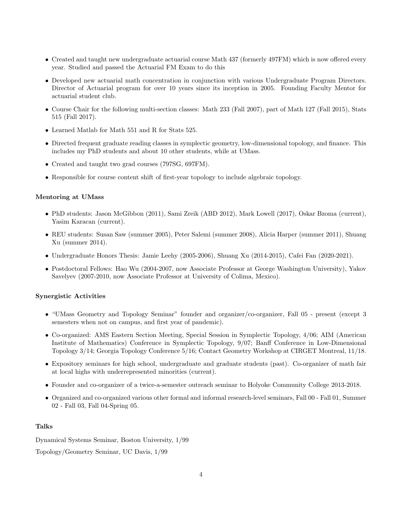- Created and taught new undergraduate actuarial course Math 437 (formerly 497FM) which is now offered every year. Studied and passed the Actuarial FM Exam to do this
- Developed new actuarial math concentration in conjunction with various Undergraduate Program Directors. Director of Actuarial program for over 10 years since its inception in 2005. Founding Faculty Mentor for actuarial student club.
- Course Chair for the following multi-section classes: Math 233 (Fall 2007), part of Math 127 (Fall 2015), Stats 515 (Fall 2017).
- Learned Matlab for Math 551 and R for Stats 525.
- Directed frequent graduate reading classes in symplectic geometry, low-dimensional topology, and finance. This includes my PhD students and about 10 other students, while at UMass.
- Created and taught two grad courses (797SG, 697FM).
- Responsible for course content shift of first-year topology to include algebraic topology.

#### Mentoring at UMass

- PhD students: Jason McGibbon (2011), Sami Zreik (ABD 2012), Mark Lowell (2017), Oskar Bzoma (current), Yasim Karacan (current).
- REU students: Susan Saw (summer 2005), Peter Salemi (summer 2008), Alicia Harper (summer 2011), Shuang Xu (summer 2014).
- Undergraduate Honors Thesis: Jamie Leehy (2005-2006), Shuang Xu (2014-2015), Cafei Fan (2020-2021).
- Postdoctoral Fellows: Hao Wu (2004-2007, now Associate Professor at George Washington University), Yakov Savelyev (2007-2010, now Associate Professor at University of Colima, Mexico).

#### Synergistic Activities

- "UMass Geometry and Topology Seminar" founder and organizer/co-organizer, Fall 05 present (except 3 semesters when not on campus, and first year of pandemic).
- Co-organized: AMS Eastern Section Meeting, Special Session in Symplectic Topology, 4/06; AIM (American Institute of Mathematics) Conference in Symplectic Topology, 9/07; Banff Conference in Low-Dimensional Topology 3/14; Georgia Topology Conference 5/16; Contact Geometry Workshop at CIRGET Montreal, 11/18.
- Expository seminars for high school, undergraduate and graduate students (past). Co-organizer of math fair at local highs with underrepresented minorities (current).
- Founder and co-organizer of a twice-a-semester outreach seminar to Holyoke Community College 2013-2018.
- Organized and co-organized various other formal and informal research-level seminars, Fall 00 Fall 01, Summer 02 - Fall 03, Fall 04-Spring 05.

# Talks

Dynamical Systems Seminar, Boston University, 1/99

Topology/Geometry Seminar, UC Davis, 1/99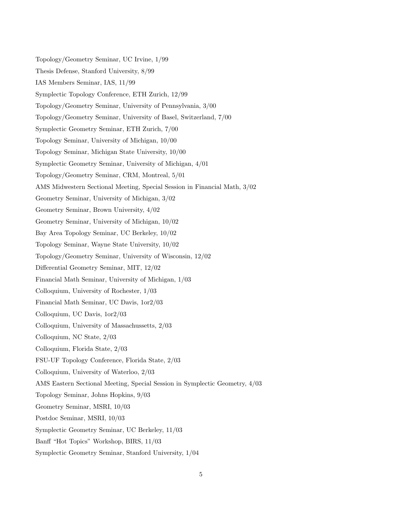Topology/Geometry Seminar, UC Irvine, 1/99 Thesis Defense, Stanford University, 8/99 IAS Members Seminar, IAS, 11/99 Symplectic Topology Conference, ETH Zurich, 12/99 Topology/Geometry Seminar, University of Pennsylvania, 3/00 Topology/Geometry Seminar, University of Basel, Switzerland, 7/00 Symplectic Geometry Seminar, ETH Zurich, 7/00 Topology Seminar, University of Michigan, 10/00 Topology Seminar, Michigan State University, 10/00 Symplectic Geometry Seminar, University of Michigan, 4/01 Topology/Geometry Seminar, CRM, Montreal, 5/01 AMS Midwestern Sectional Meeting, Special Session in Financial Math, 3/02 Geometry Seminar, University of Michigan, 3/02 Geometry Seminar, Brown University, 4/02 Geometry Seminar, University of Michigan, 10/02 Bay Area Topology Seminar, UC Berkeley, 10/02 Topology Seminar, Wayne State University, 10/02 Topology/Geometry Seminar, University of Wisconsin, 12/02 Differential Geometry Seminar, MIT, 12/02 Financial Math Seminar, University of Michigan, 1/03 Colloquium, University of Rochester, 1/03 Financial Math Seminar, UC Davis, 1or2/03 Colloquium, UC Davis, 1or2/03 Colloquium, University of Massachussetts, 2/03 Colloquium, NC State, 2/03 Colloquium, Florida State, 2/03 FSU-UF Topology Conference, Florida State, 2/03 Colloquium, University of Waterloo, 2/03 AMS Eastern Sectional Meeting, Special Session in Symplectic Geometry, 4/03 Topology Seminar, Johns Hopkins, 9/03 Geometry Seminar, MSRI, 10/03 Postdoc Seminar, MSRI, 10/03 Symplectic Geometry Seminar, UC Berkeley, 11/03 Banff "Hot Topics" Workshop, BIRS, 11/03 Symplectic Geometry Seminar, Stanford University, 1/04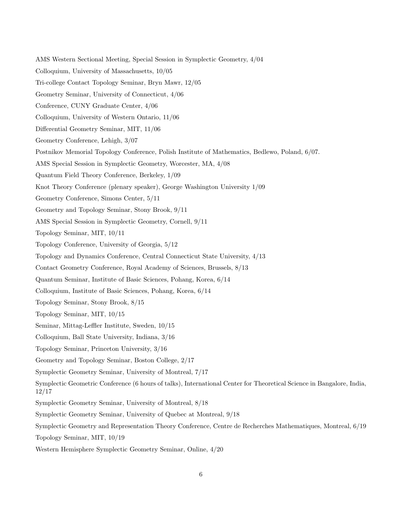AMS Western Sectional Meeting, Special Session in Symplectic Geometry, 4/04 Colloquium, University of Massachusetts, 10/05 Tri-college Contact Topology Seminar, Bryn Mawr, 12/05 Geometry Seminar, University of Connecticut, 4/06 Conference, CUNY Graduate Center, 4/06 Colloquium, University of Western Ontario, 11/06 Differential Geometry Seminar, MIT, 11/06 Geometry Conference, Lehigh, 3/07 Postnikov Memorial Topology Conference, Polish Institute of Mathematics, Bedlewo, Poland, 6/07. AMS Special Session in Symplectic Geometry, Worcester, MA, 4/08 Quantum Field Theory Conference, Berkeley, 1/09 Knot Theory Conference (plenary speaker), George Washington University 1/09 Geometry Conference, Simons Center, 5/11 Geometry and Topology Seminar, Stony Brook, 9/11 AMS Special Session in Symplectic Geometry, Cornell, 9/11 Topology Seminar, MIT, 10/11 Topology Conference, University of Georgia, 5/12 Topology and Dynamics Conference, Central Connecticut State University, 4/13 Contact Geometry Conference, Royal Academy of Sciences, Brussels, 8/13 Quantum Seminar, Institute of Basic Sciences, Pohang, Korea, 6/14 Colloquium, Institute of Basic Sciences, Pohang, Korea, 6/14 Topology Seminar, Stony Brook, 8/15 Topology Seminar, MIT, 10/15 Seminar, Mittag-Leffler Institute, Sweden, 10/15 Colloquium, Ball State University, Indiana, 3/16 Topology Seminar, Princeton University, 3/16 Geometry and Topology Seminar, Boston College, 2/17 Symplectic Geometry Seminar, University of Montreal, 7/17 Symplectic Geometric Conference (6 hours of talks), International Center for Theoretical Science in Bangalore, India, 12/17 Symplectic Geometry Seminar, University of Montreal, 8/18 Symplectic Geometry Seminar, University of Quebec at Montreal, 9/18 Symplectic Geometry and Representation Theory Conference, Centre de Recherches Mathematiques, Montreal, 6/19 Topology Seminar, MIT, 10/19

Western Hemisphere Symplectic Geometry Seminar, Online, 4/20